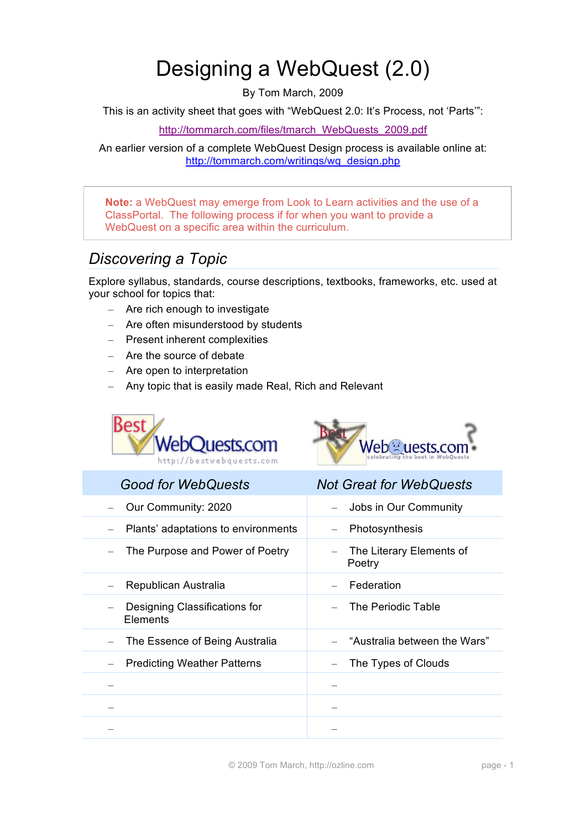# Designing a WebQuest (2.0)

By Tom March, 2009

This is an activity sheet that goes with "WebQuest 2.0: It's Process, not 'Parts'":

http://tommarch.com/files/tmarch\_WebQuests\_2009.pdf

An earlier version of a complete WebQuest Design process is available online at: http://tommarch.com/writings/wq\_design.php

**Note:** a WebQuest may emerge from Look to Learn activities and the use of a ClassPortal. The following process if for when you want to provide a WebQuest on a specific area within the curriculum.

# *Discovering a Topic*

Explore syllabus, standards, course descriptions, textbooks, frameworks, etc. used at your school for topics that:

- Are rich enough to investigate
- Are often misunderstood by students
- Present inherent complexities
- Are the source of debate
- Are open to interpretation
- Any topic that is easily made Real, Rich and Relevant





| <b>Good for WebQuests</b>                 | <b>Not Great for WebQuests</b>     |
|-------------------------------------------|------------------------------------|
| Our Community: 2020                       | Jobs in Our Community              |
| Plants' adaptations to environments       | Photosynthesis                     |
| The Purpose and Power of Poetry           | The Literary Elements of<br>Poetry |
| Republican Australia                      | Federation                         |
| Designing Classifications for<br>Elements | The Periodic Table                 |
| The Essence of Being Australia            | "Australia between the Wars"       |
| <b>Predicting Weather Patterns</b>        | The Types of Clouds                |
|                                           |                                    |
|                                           |                                    |
|                                           |                                    |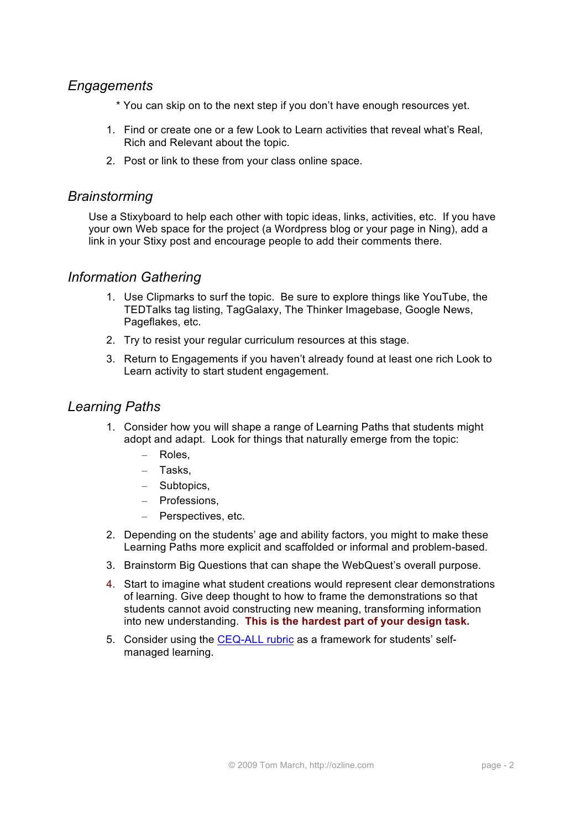### *Engagements*

- \* You can skip on to the next step if you don't have enough resources yet.
- 1. Find or create one or a few Look to Learn activities that reveal what's Real, Rich and Relevant about the topic.
- 2. Post or link to these from your class online space.

#### *Brainstorming*

Use a Stixyboard to help each other with topic ideas, links, activities, etc. If you have your own Web space for the project (a Wordpress blog or your page in Ning), add a link in your Stixy post and encourage people to add their comments there.

#### *Information Gathering*

- 1. Use Clipmarks to surf the topic. Be sure to explore things like YouTube, the TEDTalks tag listing, TagGalaxy, The Thinker Imagebase, Google News, Pageflakes, etc.
- 2. Try to resist your regular curriculum resources at this stage.
- 3. Return to Engagements if you haven't already found at least one rich Look to Learn activity to start student engagement.

#### *Learning Paths*

- 1. Consider how you will shape a range of Learning Paths that students might adopt and adapt. Look for things that naturally emerge from the topic:
	- Roles,
	- Tasks,
	- Subtopics,
	- Professions,
	- Perspectives, etc.
- 2. Depending on the students' age and ability factors, you might to make these Learning Paths more explicit and scaffolded or informal and problem-based.
- 3. Brainstorm Big Questions that can shape the WebQuest's overall purpose.
- 4. Start to imagine what student creations would represent clear demonstrations of learning. Give deep thought to how to frame the demonstrations so that students cannot avoid constructing new meaning, transforming information into new understanding. **This is the hardest part of your design task.**
- 5. Consider using the CEQ-ALL rubric as a framework for students' selfmanaged learning.